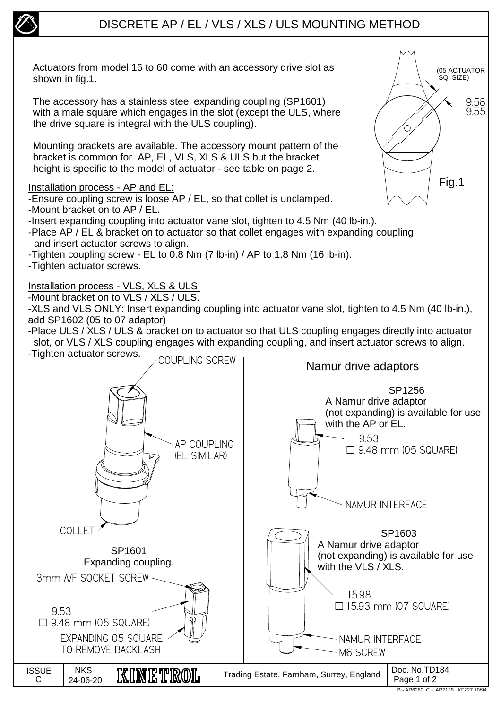

## DISCRETE AP / EL / VLS / XLS / ULS MOUNTING METHOD

Actuators from model 16 to 60 come with an accessory drive slot as shown in fig.1.

The accessory has a stainless steel expanding coupling (SP1601) with a male square which engages in the slot (except the ULS, where the drive square is integral with the ULS coupling).

Mounting brackets are available. The accessory mount pattern of the bracket is common for AP, EL, VLS, XLS & ULS but the bracket height is specific to the model of actuator - see table on page 2.

## Installation process - AP and EL:

-Ensure coupling screw is loose AP / EL, so that collet is unclamped.

- -Mount bracket on to AP / EL.
- -Insert expanding coupling into actuator vane slot, tighten to 4.5 Nm (40 lb-in.).
- -Place AP / EL & bracket on to actuator so that collet engages with expanding coupling, and insert actuator screws to align.
- -Tighten coupling screw EL to 0.8 Nm (7 lb-in) / AP to 1.8 Nm (16 lb-in).
- -Tighten actuator screws.

## Installation process - VLS, XLS & ULS:

-Mount bracket on to VLS / XLS / ULS.

-XLS and VLS ONLY: Insert expanding coupling into actuator vane slot, tighten to 4.5 Nm (40 lb-in.), add SP1602 (05 to 07 adaptor)

-Place ULS / XLS / ULS & bracket on to actuator so that ULS coupling engages directly into actuator slot, or VLS / XLS coupling engages with expanding coupling, and insert actuator screws to align.



9.58 9.55

(05 ACTUATOR SQ. SIZE)

Fig.1